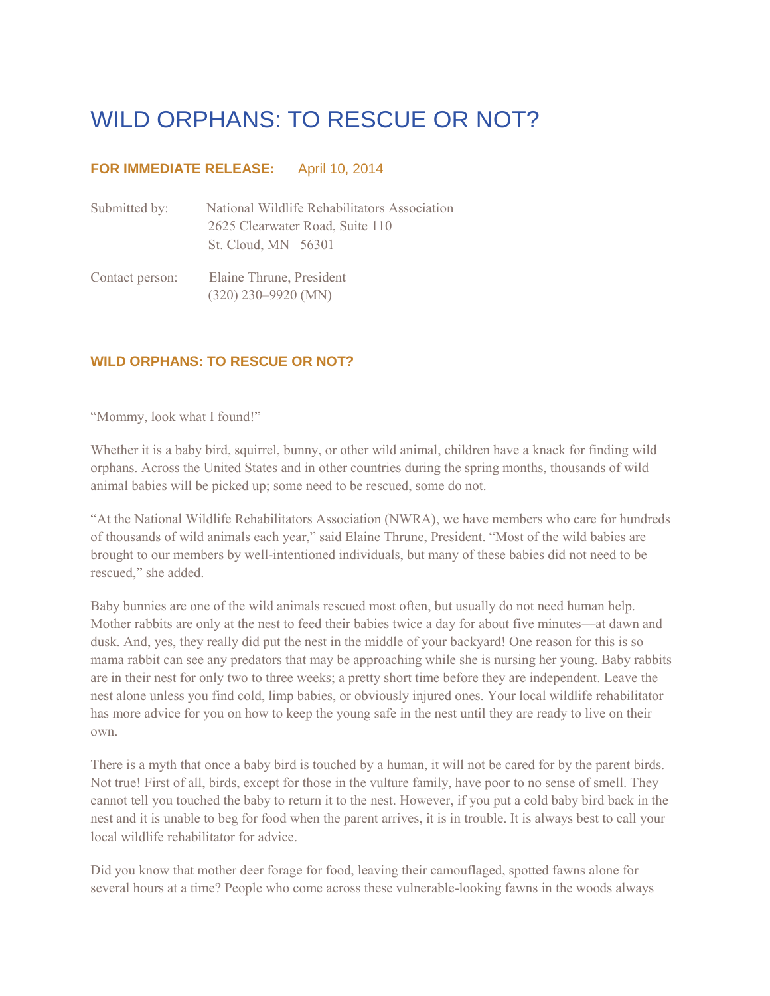## WILD ORPHANS: TO RESCUE OR NOT?

## **FOR IMMEDIATE RELEASE:** April 10, 2014

| Submitted by:   | National Wildlife Rehabilitators Association<br>2625 Clearwater Road, Suite 110<br>St. Cloud, MN 56301 |
|-----------------|--------------------------------------------------------------------------------------------------------|
| Contact person: | Elaine Thrune, President                                                                               |

(320) 230–9920 (MN)

## **WILD ORPHANS: TO RESCUE OR NOT?**

"Mommy, look what I found!"

Whether it is a baby bird, squirrel, bunny, or other wild animal, children have a knack for finding wild orphans. Across the United States and in other countries during the spring months, thousands of wild animal babies will be picked up; some need to be rescued, some do not.

"At the National Wildlife Rehabilitators Association (NWRA), we have members who care for hundreds of thousands of wild animals each year," said Elaine Thrune, President. "Most of the wild babies are brought to our members by well-intentioned individuals, but many of these babies did not need to be rescued," she added.

Baby bunnies are one of the wild animals rescued most often, but usually do not need human help. Mother rabbits are only at the nest to feed their babies twice a day for about five minutes—at dawn and dusk. And, yes, they really did put the nest in the middle of your backyard! One reason for this is so mama rabbit can see any predators that may be approaching while she is nursing her young. Baby rabbits are in their nest for only two to three weeks; a pretty short time before they are independent. Leave the nest alone unless you find cold, limp babies, or obviously injured ones. Your local wildlife rehabilitator has more advice for you on how to keep the young safe in the nest until they are ready to live on their own.

There is a myth that once a baby bird is touched by a human, it will not be cared for by the parent birds. Not true! First of all, birds, except for those in the vulture family, have poor to no sense of smell. They cannot tell you touched the baby to return it to the nest. However, if you put a cold baby bird back in the nest and it is unable to beg for food when the parent arrives, it is in trouble. It is always best to call your local wildlife rehabilitator for advice.

Did you know that mother deer forage for food, leaving their camouflaged, spotted fawns alone for several hours at a time? People who come across these vulnerable-looking fawns in the woods always